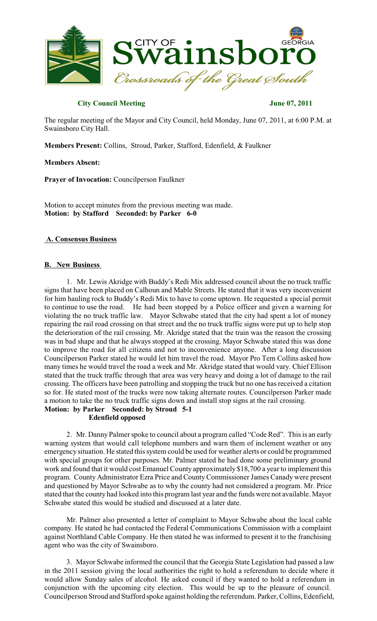

## **City Council Meeting June 07, 2011**

The regular meeting of the Mayor and City Council, held Monday, June 07, 2011, at 6:00 P.M. at Swainsboro City Hall.

**Members Present:** Collins, Stroud, Parker, Stafford, Edenfield, & Faulkner

**Members Absent:**

**Prayer of Invocation:** Councilperson Faulkner

Motion to accept minutes from the previous meeting was made. **Motion: by Stafford Seconded: by Parker 6-0**

## **A. Consensus Business**

## **B. New Business**

1. Mr. Lewis Akridge with Buddy's Redi Mix addressed council about the no truck traffic signs that have been placed on Calhoun and Mable Streets. He stated that it was very inconvenient for him hauling rock to Buddy's Redi Mix to have to come uptown. He requested a special permit to continue to use the road. He had been stopped by a Police officer and given a warning for violating the no truck traffic law. Mayor Schwabe stated that the city had spent a lot of money repairing the rail road crossing on that street and the no truck traffic signs were put up to help stop the deterioration of the rail crossing. Mr. Akridge stated that the train was the reason the crossing was in bad shape and that he always stopped at the crossing. Mayor Schwabe stated this was done to improve the road for all citizens and not to inconvenience anyone. After a long discussion Councilperson Parker stated he would let him travel the road. Mayor Pro Tem Collins asked how many times he would travel the road a week and Mr. Akridge stated that would vary. Chief Ellison stated that the truck traffic through that area was very heavy and doing a lot of damage to the rail crossing. The officers have been patrolling and stopping the truck but no one has received a citation so for. He stated most of the trucks were now taking alternate routes. Councilperson Parker made a motion to take the no truck traffic signs down and install stop signs at the rail crossing. **Motion: by Parker Seconded: by Stroud 5-1** 

**Edenfield opposed**

2. Mr. Danny Palmer spoke to council about a program called "Code Red". This is an early warning system that would call telephone numbers and warn them of inclement weather or any emergency situation. He stated this system could be used for weather alerts or could be programmed with special groups for other purposes. Mr. Palmer stated he had done some preliminary ground work and found that it would cost Emanuel County approximately \$18,700 a year to implement this program. County Administrator Ezra Price and CountyCommissioner James Canady were present and questioned by Mayor Schwabe as to why the county had not considered a program. Mr. Price stated that the county had looked into this program last year and the funds were not available. Mayor Schwabe stated this would be studied and discussed at a later date.

Mr. Palmer also presented a letter of complaint to Mayor Schwabe about the local cable company. He stated he had contacted the Federal Communications Commission with a complaint against Northland Cable Company. He then stated he was informed to present it to the franchising agent who was the city of Swainsboro.

3. Mayor Schwabe informed the council that the Georgia State Legislation had passed a law in the 2011 session giving the local authorities the right to hold a referendum to decide where it would allow Sunday sales of alcohol. He asked council if they wanted to hold a referendum in conjunction with the upcoming city election. This would be up to the pleasure of council. Councilperson Stroud and Stafford spoke against holding the referendum. Parker, Collins, Edenfield,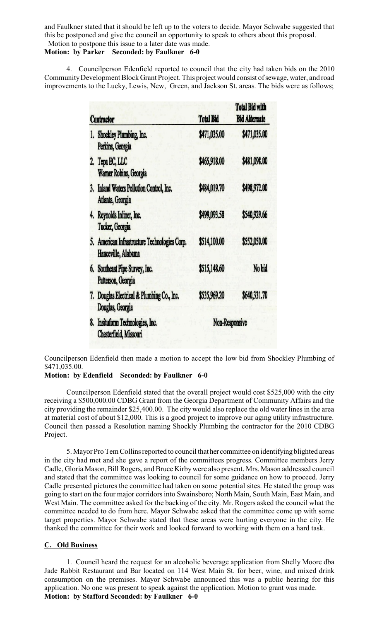and Faulkner stated that it should be left up to the voters to decide. Mayor Schwabe suggested that this be postponed and give the council an opportunity to speak to others about this proposal. Motion to postpone this issue to a later date was made.

# **Motion: by Parker Seconded: by Faulkner 6-0**

4. Councilperson Edenfield reported to council that the city had taken bids on the 2010 CommunityDevelopment Block Grant Project. This projectwould consist of sewage, water, and road improvements to the Lucky, Lewis, New, Green, and Jackson St. areas. The bids were as follows;

| Contractor                                                           | <b>Total Bid</b> | Total Bid with<br><b>Bid Alternate</b> |  |
|----------------------------------------------------------------------|------------------|----------------------------------------|--|
| 1. Shockley Plumbing, Inc.<br>Perkins, Georgia                       | \$471,035.00     | \$471,035.00                           |  |
| 2. Tepa EC, LLC<br>Warner Robins, Georgia                            | \$465,918.00     | \$481,098.00                           |  |
| 3. Inland Waters Pollution Control, Inc.<br>Atlanta, Georgia         | \$484,019.70     | \$498.972.00                           |  |
| 4. Reynolds Inliner, Inc.<br>Tucker, Georgia                         | \$499,093.58     | \$540,929.66                           |  |
| 5. American Infrastructure Technologies Corp.<br>Hanceville, Alabama | \$514,100.00     | \$552,050.00                           |  |
| 6. Southeast Pipe Survey, Inc.<br>Patterson, Georgia                 | \$515,148.60     | No bid                                 |  |
| 7. Douglas Electrical & Plumbing Co., Inc.<br>Douglas, Georgia       | \$535,969.20     | \$640,331.70                           |  |
| Insitutorm Technologies, Inc.<br>8.<br>Chesterfield, Missouri        |                  | Non-Responsive                         |  |

Councilperson Edenfield then made a motion to accept the low bid from Shockley Plumbing of \$471,035.00.

### **Motion: by Edenfield Seconded: by Faulkner 6-0**

Councilperson Edenfield stated that the overall project would cost \$525,000 with the city receiving a \$500,000.00 CDBG Grant from the Georgia Department of Community Affairs and the city providing the remainder \$25,400.00. The city would also replace the old water lines in the area at material cost of about \$12,000. This is a good project to improve our aging utility infrastructure. Council then passed a Resolution naming Shockly Plumbing the contractor for the 2010 CDBG Project.

5. Mayor Pro Tem Collins reported to council that her committee on identifying blighted areas in the city had met and she gave a report of the committees progress. Committee members Jerry Cadle, Gloria Mason, Bill Rogers, and Bruce Kirbywere also present. Mrs. Mason addressed council and stated that the committee was looking to council for some guidance on how to proceed. Jerry Cadle presented pictures the committee had taken on some potential sites. He stated the group was going to start on the four major corridorsinto Swainsboro; North Main, South Main, East Main, and West Main. The committee asked for the backing of the city. Mr. Rogers asked the council what the committee needed to do from here. Mayor Schwabe asked that the committee come up with some target properties. Mayor Schwabe stated that these areas were hurting everyone in the city. He thanked the committee for their work and looked forward to working with them on a hard task.

## **C. Old Business**

1. Council heard the request for an alcoholic beverage application from Shelly Moore dba Jade Rabbit Restaurant and Bar located on 114 West Main St. for beer, wine, and mixed drink consumption on the premises. Mayor Schwabe announced this was a public hearing for this application. No one was present to speak against the application. Motion to grant was made. **Motion: by Stafford Seconded: by Faulkner 6-0**